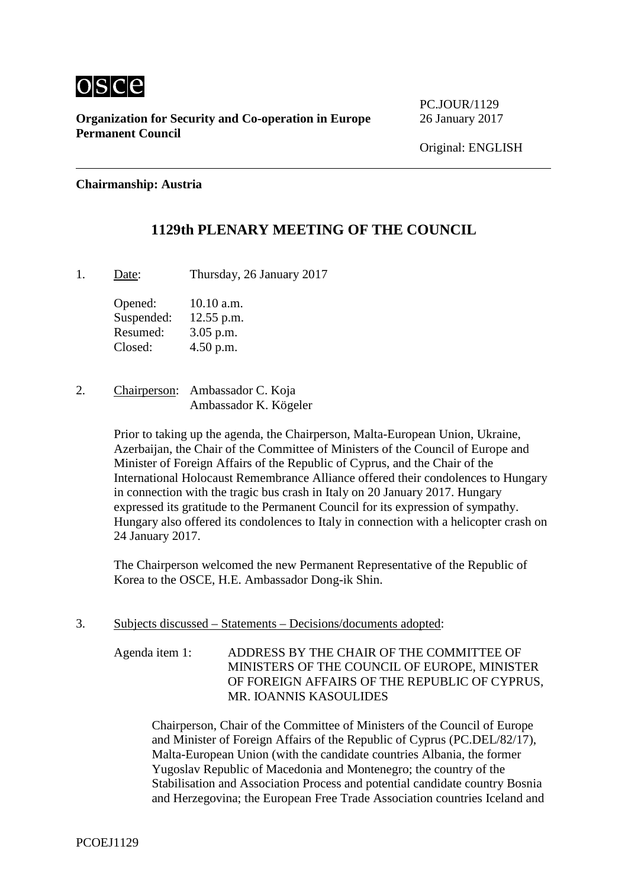

**Organization for Security and Co-operation in Europe** 26 January 2017 **Permanent Council**

**PC.IOUR/1129** 

#### **Chairmanship: Austria**

# **1129th PLENARY MEETING OF THE COUNCIL**

1. Date: Thursday, 26 January 2017

Opened: 10.10 a.m. Suspended: 12.55 p.m. Resumed: 3.05 p.m. Closed: 4.50 p.m.

| 2. | Chairperson: Ambassador C. Koja |
|----|---------------------------------|
|    | Ambassador K. Kögeler           |

Prior to taking up the agenda, the Chairperson, Malta-European Union, Ukraine, Azerbaijan, the Chair of the Committee of Ministers of the Council of Europe and Minister of Foreign Affairs of the Republic of Cyprus, and the Chair of the International Holocaust Remembrance Alliance offered their condolences to Hungary in connection with the tragic bus crash in Italy on 20 January 2017. Hungary expressed its gratitude to the Permanent Council for its expression of sympathy. Hungary also offered its condolences to Italy in connection with a helicopter crash on 24 January 2017.

The Chairperson welcomed the new Permanent Representative of the Republic of Korea to the OSCE, H.E. Ambassador Dong-ik Shin.

3. Subjects discussed – Statements – Decisions/documents adopted:

Agenda item 1: ADDRESS BY THE CHAIR OF THE COMMITTEE OF MINISTERS OF THE COUNCIL OF EUROPE, MINISTER OF FOREIGN AFFAIRS OF THE REPUBLIC OF CYPRUS, MR. IOANNIS KASOULIDES

Chairperson, Chair of the Committee of Ministers of the Council of Europe and Minister of Foreign Affairs of the Republic of Cyprus (PC.DEL/82/17), Malta-European Union (with the candidate countries Albania, the former Yugoslav Republic of Macedonia and Montenegro; the country of the Stabilisation and Association Process and potential candidate country Bosnia and Herzegovina; the European Free Trade Association countries Iceland and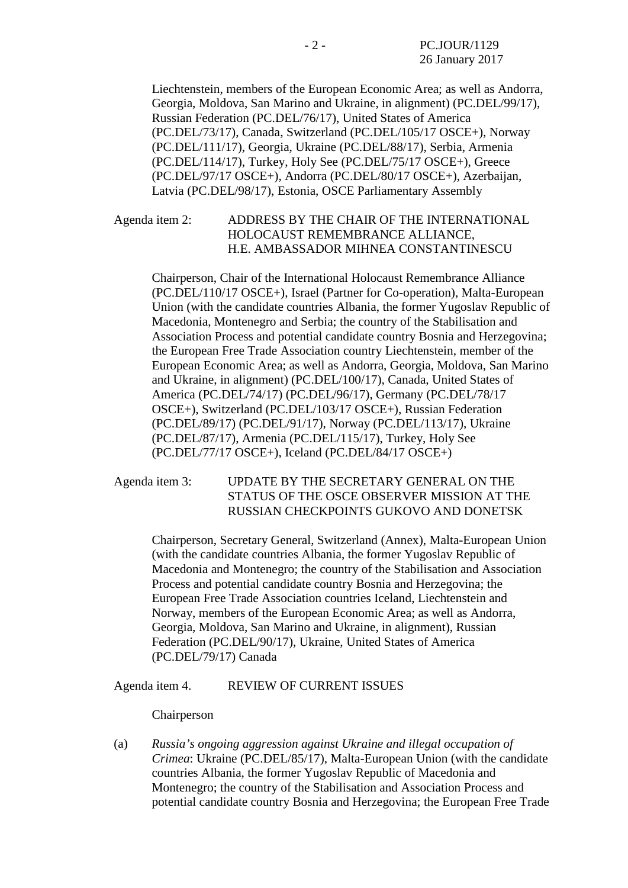Liechtenstein, members of the European Economic Area; as well as Andorra, Georgia, Moldova, San Marino and Ukraine, in alignment) (PC.DEL/99/17), Russian Federation (PC.DEL/76/17), United States of America (PC.DEL/73/17), Canada, Switzerland (PC.DEL/105/17 OSCE+), Norway (PC.DEL/111/17), Georgia, Ukraine (PC.DEL/88/17), Serbia, Armenia (PC.DEL/114/17), Turkey, Holy See (PC.DEL/75/17 OSCE+), Greece (PC.DEL/97/17 OSCE+), Andorra (PC.DEL/80/17 OSCE+), Azerbaijan, Latvia (PC.DEL/98/17), Estonia, OSCE Parliamentary Assembly

### Agenda item 2: ADDRESS BY THE CHAIR OF THE INTERNATIONAL HOLOCAUST REMEMBRANCE ALLIANCE, H.E. AMBASSADOR MIHNEA CONSTANTINESCU

Chairperson, Chair of the International Holocaust Remembrance Alliance (PC.DEL/110/17 OSCE+), Israel (Partner for Co-operation), Malta-European Union (with the candidate countries Albania, the former Yugoslav Republic of Macedonia, Montenegro and Serbia; the country of the Stabilisation and Association Process and potential candidate country Bosnia and Herzegovina; the European Free Trade Association country Liechtenstein, member of the European Economic Area; as well as Andorra, Georgia, Moldova, San Marino and Ukraine, in alignment) (PC.DEL/100/17), Canada, United States of America (PC.DEL/74/17) (PC.DEL/96/17), Germany (PC.DEL/78/17 OSCE+), Switzerland (PC.DEL/103/17 OSCE+), Russian Federation (PC.DEL/89/17) (PC.DEL/91/17), Norway (PC.DEL/113/17), Ukraine (PC.DEL/87/17), Armenia (PC.DEL/115/17), Turkey, Holy See (PC.DEL/77/17 OSCE+), Iceland (PC.DEL/84/17 OSCE+)

#### Agenda item 3: UPDATE BY THE SECRETARY GENERAL ON THE STATUS OF THE OSCE OBSERVER MISSION AT THE RUSSIAN CHECKPOINTS GUKOVO AND DONETSK

Chairperson, Secretary General, Switzerland (Annex), Malta-European Union (with the candidate countries Albania, the former Yugoslav Republic of Macedonia and Montenegro; the country of the Stabilisation and Association Process and potential candidate country Bosnia and Herzegovina; the European Free Trade Association countries Iceland, Liechtenstein and Norway, members of the European Economic Area; as well as Andorra, Georgia, Moldova, San Marino and Ukraine, in alignment), Russian Federation (PC.DEL/90/17), Ukraine, United States of America (PC.DEL/79/17) Canada

Agenda item 4. REVIEW OF CURRENT ISSUES

Chairperson

(a) *Russia's ongoing aggression against Ukraine and illegal occupation of Crimea*: Ukraine (PC.DEL/85/17), Malta-European Union (with the candidate countries Albania, the former Yugoslav Republic of Macedonia and Montenegro; the country of the Stabilisation and Association Process and potential candidate country Bosnia and Herzegovina; the European Free Trade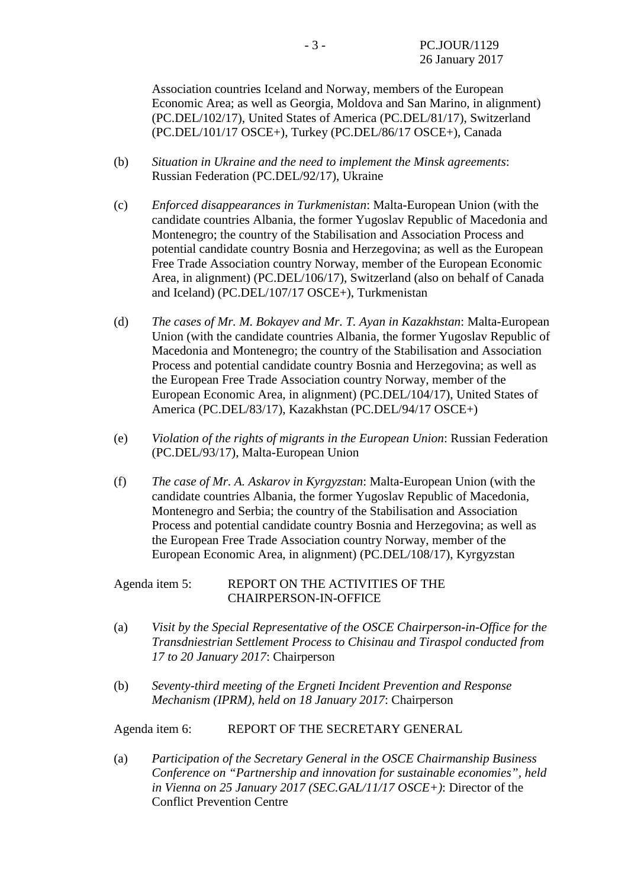Association countries Iceland and Norway, members of the European Economic Area; as well as Georgia, Moldova and San Marino, in alignment) (PC.DEL/102/17), United States of America (PC.DEL/81/17), Switzerland (PC.DEL/101/17 OSCE+), Turkey (PC.DEL/86/17 OSCE+), Canada

- (b) *Situation in Ukraine and the need to implement the Minsk agreements*: Russian Federation (PC.DEL/92/17), Ukraine
- (c) *Enforced disappearances in Turkmenistan*: Malta-European Union (with the candidate countries Albania, the former Yugoslav Republic of Macedonia and Montenegro; the country of the Stabilisation and Association Process and potential candidate country Bosnia and Herzegovina; as well as the European Free Trade Association country Norway, member of the European Economic Area, in alignment) (PC.DEL/106/17), Switzerland (also on behalf of Canada and Iceland) (PC.DEL/107/17 OSCE+), Turkmenistan
- (d) *The cases of Mr. M. Bokayev and Mr. T. Ayan in Kazakhstan*: Malta-European Union (with the candidate countries Albania, the former Yugoslav Republic of Macedonia and Montenegro; the country of the Stabilisation and Association Process and potential candidate country Bosnia and Herzegovina; as well as the European Free Trade Association country Norway, member of the European Economic Area, in alignment) (PC.DEL/104/17), United States of America (PC.DEL/83/17), Kazakhstan (PC.DEL/94/17 OSCE+)
- (e) *Violation of the rights of migrants in the European Union*: Russian Federation (PC.DEL/93/17), Malta-European Union
- (f) *The case of Mr. A. Askarov in Kyrgyzstan*: Malta-European Union (with the candidate countries Albania, the former Yugoslav Republic of Macedonia, Montenegro and Serbia; the country of the Stabilisation and Association Process and potential candidate country Bosnia and Herzegovina; as well as the European Free Trade Association country Norway, member of the European Economic Area, in alignment) (PC.DEL/108/17), Kyrgyzstan

### Agenda item 5: REPORT ON THE ACTIVITIES OF THE CHAIRPERSON-IN-OFFICE

- (a) *Visit by the Special Representative of the OSCE Chairperson-in-Office for the Transdniestrian Settlement Process to Chisinau and Tiraspol conducted from 17 to 20 January 2017*: Chairperson
- (b) *Seventy-third meeting of the Ergneti Incident Prevention and Response Mechanism (IPRM), held on 18 January 2017*: Chairperson

Agenda item 6: REPORT OF THE SECRETARY GENERAL

(a) *Participation of the Secretary General in the OSCE Chairmanship Business Conference on "Partnership and innovation for sustainable economies", held in Vienna on 25 January 2017 (SEC.GAL/11/17 OSCE+)*: Director of the Conflict Prevention Centre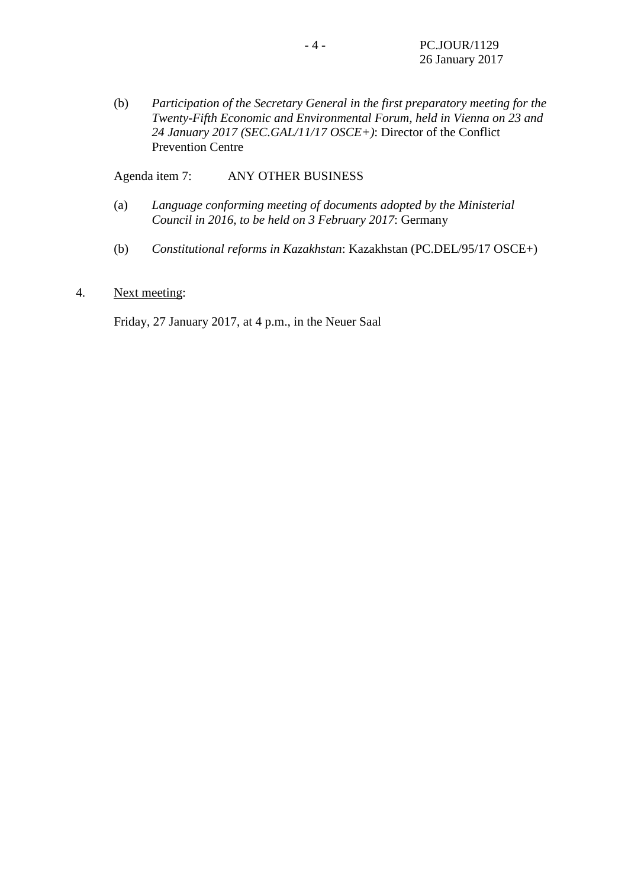(b) *Participation of the Secretary General in the first preparatory meeting for the Twenty-Fifth Economic and Environmental Forum, held in Vienna on 23 and 24 January 2017 (SEC.GAL/11/17 OSCE+)*: Director of the Conflict Prevention Centre

Agenda item 7: ANY OTHER BUSINESS

- (a) *Language conforming meeting of documents adopted by the Ministerial Council in 2016, to be held on 3 February 2017*: Germany
- (b) *Constitutional reforms in Kazakhstan*: Kazakhstan (PC.DEL/95/17 OSCE+)
- 4. Next meeting:

Friday, 27 January 2017, at 4 p.m., in the Neuer Saal